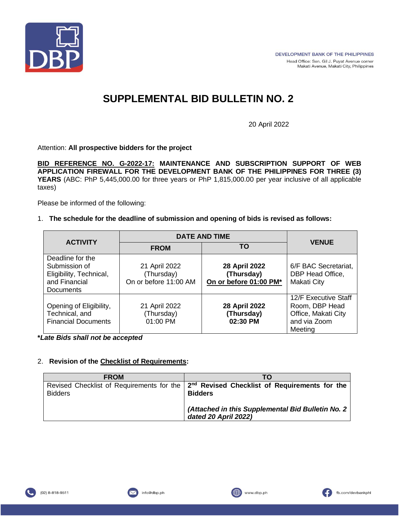

# **SUPPLEMENTAL BID BULLETIN NO. 2**

20 April 2022

Attention: **All prospective bidders for the project**

**BID REFERENCE NO. G-2022-17: MAINTENANCE AND SUBSCRIPTION SUPPORT OF WEB APPLICATION FIREWALL FOR THE DEVELOPMENT BANK OF THE PHILIPPINES FOR THREE (3) YEARS** (ABC: PhP 5,445,000.00 for three years or PhP 1,815,000.00 per year inclusive of all applicable taxes)

Please be informed of the following:

#### 1. **The schedule for the deadline of submission and opening of bids is revised as follows:**

|                                                                                                   | <b>DATE AND TIME</b>                                 |                                                       |                                                                                          |
|---------------------------------------------------------------------------------------------------|------------------------------------------------------|-------------------------------------------------------|------------------------------------------------------------------------------------------|
| <b>ACTIVITY</b>                                                                                   | <b>FROM</b>                                          | TO                                                    | <b>VENUE</b>                                                                             |
| Deadline for the<br>Submission of<br>Eligibility, Technical,<br>and Financial<br><b>Documents</b> | 21 April 2022<br>(Thursday)<br>On or before 11:00 AM | 28 April 2022<br>(Thursday)<br>On or before 01:00 PM* | 6/F BAC Secretariat,<br>DBP Head Office,<br>Makati City                                  |
| Opening of Eligibility,<br>Technical, and<br><b>Financial Documents</b>                           | 21 April 2022<br>(Thursday)<br>01:00 PM              | 28 April 2022<br>(Thursday)<br>02:30 PM               | 12/F Executive Staff<br>Room, DBP Head<br>Office, Makati City<br>and via Zoom<br>Meeting |

**\****Late Bids shall not be accepted*

### 2. **Revision of the Checklist of Requirements:**

| <b>FROM</b>    | ТΟ                                                                                        |
|----------------|-------------------------------------------------------------------------------------------|
|                | Revised Checklist of Requirements for the $2nd$ Revised Checklist of Requirements for the |
| <b>Bidders</b> | <b>Bidders</b>                                                                            |
|                | (Attached in this Supplemental Bid Bulletin No. 2)<br>dated 20 April 2022)                |



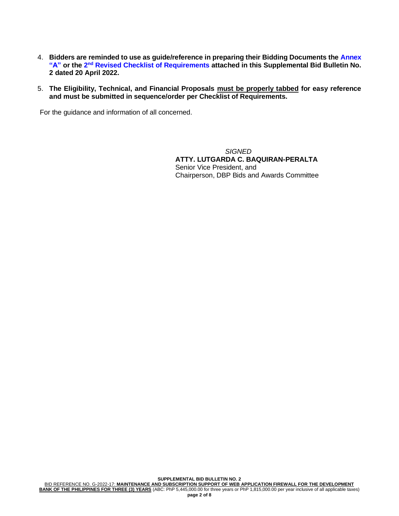- 4. **Bidders are reminded to use as guide/reference in preparing their Bidding Documents the Annex**  "A" or the 2<sup>nd</sup> Revised Checklist of Requirements attached in this Supplemental Bid Bulletin No. **2 dated 20 April 2022.**
- 5. **The Eligibility, Technical, and Financial Proposals must be properly tabbed for easy reference and must be submitted in sequence/order per Checklist of Requirements.**

For the guidance and information of all concerned.

*SIGNED* **ATTY. LUTGARDA C. BAQUIRAN-PERALTA** Senior Vice President, and Chairperson, DBP Bids and Awards Committee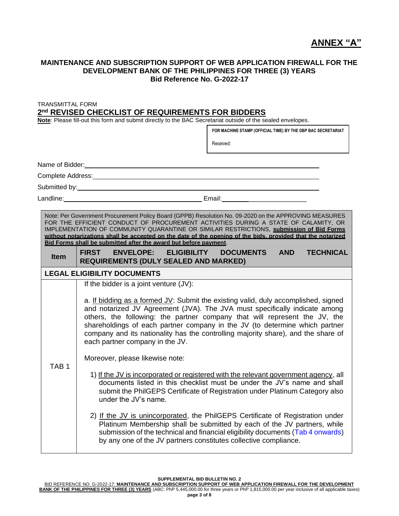# **ANNEX "A"**

#### **MAINTENANCE AND SUBSCRIPTION SUPPORT OF WEB APPLICATION FIREWALL FOR THE DEVELOPMENT BANK OF THE PHILIPPINES FOR THREE (3) YEARS Bid Reference No. G-2022-17**

TRANSMITTAL FORM **2 nd REVISED CHECKLIST OF REQUIREMENTS FOR BIDDERS**

**Note**: Please fill-out this form and submit directly to the BAC Secretariat outside of the sealed envelopes.

|                                    | FOR MACHINE STAMP (OFFICIAL TIME) BY THE DBP BAC SECRETARIAT                                                                                                                                                                                                                                                                                                                                                                                                                                                                                                                        |                  |  |  |  |
|------------------------------------|-------------------------------------------------------------------------------------------------------------------------------------------------------------------------------------------------------------------------------------------------------------------------------------------------------------------------------------------------------------------------------------------------------------------------------------------------------------------------------------------------------------------------------------------------------------------------------------|------------------|--|--|--|
|                                    | Received:                                                                                                                                                                                                                                                                                                                                                                                                                                                                                                                                                                           |                  |  |  |  |
| Name of Bidder:                    |                                                                                                                                                                                                                                                                                                                                                                                                                                                                                                                                                                                     |                  |  |  |  |
|                                    |                                                                                                                                                                                                                                                                                                                                                                                                                                                                                                                                                                                     |                  |  |  |  |
|                                    |                                                                                                                                                                                                                                                                                                                                                                                                                                                                                                                                                                                     |                  |  |  |  |
|                                    | Landline: 2008. [2013] [2014] Email: Canadian Communication Communication Communication Communication Communication                                                                                                                                                                                                                                                                                                                                                                                                                                                                 |                  |  |  |  |
| <b>Item</b>                        | Note: Per Government Procurement Policy Board (GPPB) Resolution No. 09-2020 on the APPROVING MEASURES<br>FOR THE EFFICIENT CONDUCT OF PROCUREMENT ACTIVITIES DURING A STATE OF CALAMITY, OR<br>IMPLEMENTATION OF COMMUNITY QUARANTINE OR SIMILAR RESTRICTIONS, submission of Bid Forms<br>without notarizations shall be accepted on the date of the opening of the bids, provided that the notarized<br>Bid Forms shall be submitted after the award but before payment.<br>ENVELOPE: ELIGIBILITY<br><b>FIRST</b><br>DOCUMENTS AND<br><b>REQUIREMENTS (DULY SEALED AND MARKED)</b> | <b>TECHNICAL</b> |  |  |  |
| <b>LEGAL ELIGIBILITY DOCUMENTS</b> |                                                                                                                                                                                                                                                                                                                                                                                                                                                                                                                                                                                     |                  |  |  |  |
| TAB <sub>1</sub>                   | If the bidder is a joint venture (JV):<br>a. If bidding as a formed $JV$ : Submit the existing valid, duly accomplished, signed<br>and notarized JV Agreement (JVA). The JVA must specifically indicate among<br>others, the following: the partner company that will represent the JV, the<br>shareholdings of each partner company in the JV (to determine which partner<br>company and its nationality has the controlling majority share), and the share of<br>each partner company in the JV.                                                                                  |                  |  |  |  |
|                                    | Moreover, please likewise note:<br>1) If the JV is incorporated or registered with the relevant government agency, all<br>documents listed in this checklist must be under the JV's name and shall<br>submit the PhilGEPS Certificate of Registration under Platinum Category also<br>under the JV's name.<br>2) If the JV is unincorporated, the PhilGEPS Certificate of Registration under                                                                                                                                                                                        |                  |  |  |  |
|                                    | Platinum Membership shall be submitted by each of the JV partners, while<br>submission of the technical and financial eligibility documents (Tab 4 onwards)<br>by any one of the JV partners constitutes collective compliance.                                                                                                                                                                                                                                                                                                                                                     |                  |  |  |  |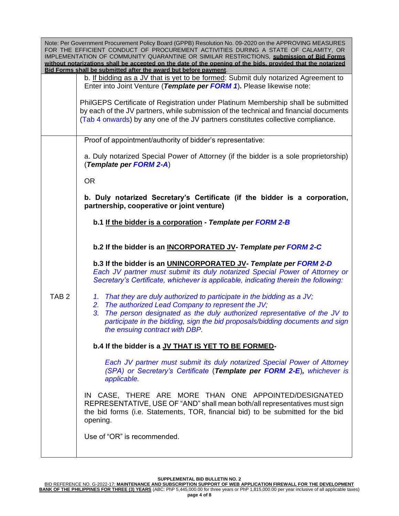|                  | Note: Per Government Procurement Policy Board (GPPB) Resolution No. 09-2020 on the APPROVING MEASURES<br>FOR THE EFFICIENT CONDUCT OF PROCUREMENT ACTIVITIES DURING A STATE OF CALAMITY, OR<br>IMPLEMENTATION OF COMMUNITY QUARANTINE OR SIMILAR RESTRICTIONS, submission of Bid Forms<br>without notarizations shall be accepted on the date of the opening of the bids, provided that the notarized<br>Bid Forms shall be submitted after the award but before payment |
|------------------|--------------------------------------------------------------------------------------------------------------------------------------------------------------------------------------------------------------------------------------------------------------------------------------------------------------------------------------------------------------------------------------------------------------------------------------------------------------------------|
|                  | b. If bidding as a JV that is yet to be formed: Submit duly notarized Agreement to<br>Enter into Joint Venture (Template per FORM 1). Please likewise note:                                                                                                                                                                                                                                                                                                              |
|                  | PhilGEPS Certificate of Registration under Platinum Membership shall be submitted<br>by each of the JV partners, while submission of the technical and financial documents<br>(Tab 4 onwards) by any one of the JV partners constitutes collective compliance.                                                                                                                                                                                                           |
|                  | Proof of appointment/authority of bidder's representative:                                                                                                                                                                                                                                                                                                                                                                                                               |
|                  | a. Duly notarized Special Power of Attorney (if the bidder is a sole proprietorship)<br>(Template per FORM 2-A)                                                                                                                                                                                                                                                                                                                                                          |
|                  | <b>OR</b>                                                                                                                                                                                                                                                                                                                                                                                                                                                                |
|                  | b. Duly notarized Secretary's Certificate (if the bidder is a corporation,<br>partnership, cooperative or joint venture)                                                                                                                                                                                                                                                                                                                                                 |
|                  | b.1 If the bidder is a corporation - Template per FORM 2-B                                                                                                                                                                                                                                                                                                                                                                                                               |
|                  | b.2 If the bidder is an INCORPORATED JV- Template per FORM 2-C                                                                                                                                                                                                                                                                                                                                                                                                           |
|                  | b.3 If the bidder is an UNINCORPORATED JV- Template per FORM 2-D<br>Each JV partner must submit its duly notarized Special Power of Attorney or<br>Secretary's Certificate, whichever is applicable, indicating therein the following:                                                                                                                                                                                                                                   |
| TAB <sub>2</sub> | 1. That they are duly authorized to participate in the bidding as a JV;                                                                                                                                                                                                                                                                                                                                                                                                  |
|                  | The authorized Lead Company to represent the JV;<br>2.<br>The person designated as the duly authorized representative of the JV to<br>3.<br>participate in the bidding, sign the bid proposals/bidding documents and sign<br>the ensuing contract with DBP.                                                                                                                                                                                                              |
|                  | b.4 If the bidder is a JV THAT IS YET TO BE FORMED-                                                                                                                                                                                                                                                                                                                                                                                                                      |
|                  | Each JV partner must submit its duly notarized Special Power of Attorney<br>(SPA) or Secretary's Certificate (Template per FORM 2-E), whichever is<br>applicable.                                                                                                                                                                                                                                                                                                        |
|                  | IN CASE, THERE ARE MORE THAN ONE APPOINTED/DESIGNATED<br>REPRESENTATIVE, USE OF "AND" shall mean both/all representatives must sign<br>the bid forms (i.e. Statements, TOR, financial bid) to be submitted for the bid<br>opening.                                                                                                                                                                                                                                       |
|                  | Use of "OR" is recommended.                                                                                                                                                                                                                                                                                                                                                                                                                                              |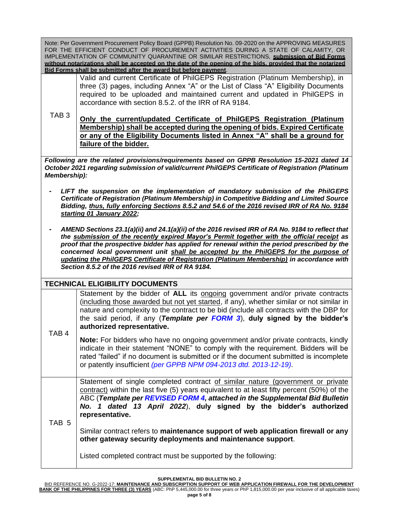Note: Per Government Procurement Policy Board (GPPB) Resolution No. 09-2020 on the APPROVING MEASURES FOR THE EFFICIENT CONDUCT OF PROCUREMENT ACTIVITIES DURING A STATE OF CALAMITY, OR IMPLEMENTATION OF COMMUNITY QUARANTINE OR SIMILAR RESTRICTIONS, **submission of Bid Forms without notarizations shall be accepted on the date of the opening of the bids, provided that the notarized Bid Forms shall be submitted after the award but before payment**.

> Valid and current Certificate of PhilGEPS Registration (Platinum Membership), in three (3) pages, including Annex "A" or the List of Class "A" Eligibility Documents required to be uploaded and maintained current and updated in PhilGEPS in accordance with section 8.5.2. of the IRR of RA 9184.

TAB 3 **Only the current/updated Certificate of PhilGEPS Registration (Platinum Membership) shall be accepted during the opening of bids. Expired Certificate or any of the Eligibility Documents listed in Annex "A" shall be a ground for failure of the bidder.**

*Following are the related provisions/requirements based on GPPB Resolution 15-2021 dated 14 October 2021 regarding submission of valid/current PhilGEPS Certificate of Registration (Platinum Membership):*

- **-** *LIFT the suspension on the implementation of mandatory submission of the PhilGEPS Certificate of Registration (Platinum Membership) in Competitive Bidding and Limited Source Bidding, thus, fully enforcing Sections 8.5.2 and 54.6 of the 2016 revised IRR of RA No. 9184 starting 01 January 2022;*
- **-** *AMEND Sections 23.1(a)(ii) and 24.1(a)(ii) of the 2016 revised IRR of RA No. 9184 to reflect that the submission of the recently expired Mayor's Permit together with the official receipt as proof that the prospective bidder has applied for renewal within the period prescribed by the concerned local government unit shall be accepted by the PhilGEPS for the purpose of updating the PhilGEPS Certificate of Registration (Platinum Membership) in accordance with Section 8.5.2 of the 2016 revised IRR of RA 9184.*

#### **TECHNICAL ELIGIBILITY DOCUMENTS**

| TAB <sub>4</sub> | Statement by the bidder of ALL its ongoing government and/or private contracts<br>(including those awarded but not yet started, if any), whether similar or not similar in<br>nature and complexity to the contract to be bid (include all contracts with the DBP for<br>the said period, if any (Template per FORM 3), duly signed by the bidder's<br>authorized representative.<br><b>Note:</b> For bidders who have no ongoing government and/or private contracts, kindly<br>indicate in their statement "NONE" to comply with the requirement. Bidders will be<br>rated "failed" if no document is submitted or if the document submitted is incomplete<br>or patently insufficient (per GPPB NPM 094-2013 dtd. 2013-12-19). |
|------------------|-----------------------------------------------------------------------------------------------------------------------------------------------------------------------------------------------------------------------------------------------------------------------------------------------------------------------------------------------------------------------------------------------------------------------------------------------------------------------------------------------------------------------------------------------------------------------------------------------------------------------------------------------------------------------------------------------------------------------------------|
|                  |                                                                                                                                                                                                                                                                                                                                                                                                                                                                                                                                                                                                                                                                                                                                   |
| TAB <sub>5</sub> | Statement of single completed contract of similar nature (government or private<br>contract) within the last five (5) years equivalent to at least fifty percent (50%) of the<br>ABC (Template per REVISED FORM 4, attached in the Supplemental Bid Bulletin<br>No. 1 dated 13 April 2022), duly signed by the bidder's authorized<br>representative.<br>Similar contract refers to maintenance support of web application firewall or any<br>other gateway security deployments and maintenance support.<br>Listed completed contract must be supported by the following:                                                                                                                                                        |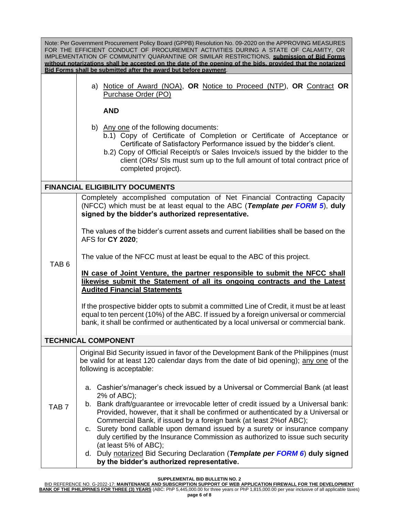Note: Per Government Procurement Policy Board (GPPB) Resolution No. 09-2020 on the APPROVING MEASURES FOR THE EFFICIENT CONDUCT OF PROCUREMENT ACTIVITIES DURING A STATE OF CALAMITY, OR IMPLEMENTATION OF COMMUNITY QUARANTINE OR SIMILAR RESTRICTIONS, **submission of Bid Forms without notarizations shall be accepted on the date of the opening of the bids, provided that the notarized Bid Forms shall be submitted after the award but before payment**.

|                     |  |  |  |  | a) Notice of Award (NOA), OR Notice to Proceed (NTP), OR Contract OR |  |
|---------------------|--|--|--|--|----------------------------------------------------------------------|--|
| Purchase Order (PO) |  |  |  |  |                                                                      |  |

**AND**

- b) Any one of the following documents:
	- b.1) Copy of Certificate of Completion or Certificate of Acceptance or Certificate of Satisfactory Performance issued by the bidder's client.
	- b.2) Copy of Official Receipt/s or Sales Invoice/s issued by the bidder to the client (ORs/ SIs must sum up to the full amount of total contract price of completed project).

## **FINANCIAL ELIGIBILITY DOCUMENTS**

Completely accomplished computation of Net Financial Contracting Capacity (NFCC) which must be at least equal to the ABC (*Template per FORM 5*), **duly signed by the bidder's authorized representative.**

1) The values of the bidder's current assets and current liabilities shall be based on the AFS for **CY 2020**;

The value of the NFCC must at least be equal to the ABC of this project.

TAB 6

**IN case of Joint Venture, the partner responsible to submit the NFCC shall likewise submit the Statement of all its ongoing contracts and the Latest Audited Financial Statements**

If the prospective bidder opts to submit a committed Line of Credit, it must be at least equal to ten percent (10%) of the ABC. If issued by a foreign universal or commercial bank, it shall be confirmed or authenticated by a local universal or commercial bank.

# **TECHNICAL COMPONENT**

Original Bid Security issued in favor of the Development Bank of the Philippines (must be valid for at least 120 calendar days from the date of bid opening); any one of the following is acceptable:

- a. Cashier's/manager's check issued by a Universal or Commercial Bank (at least 2% of ABC);
- TAB 7 b. Bank draft/guarantee or irrevocable letter of credit issued by a Universal bank: Provided, however, that it shall be confirmed or authenticated by a Universal or Commercial Bank, if issued by a foreign bank (at least 2%of ABC);
	- c. Surety bond callable upon demand issued by a surety or insurance company duly certified by the Insurance Commission as authorized to issue such security (at least 5% of ABC);
	- d. Duly notarized Bid Securing Declaration (*Template per FORM 6*) **duly signed by the bidder's authorized representative.**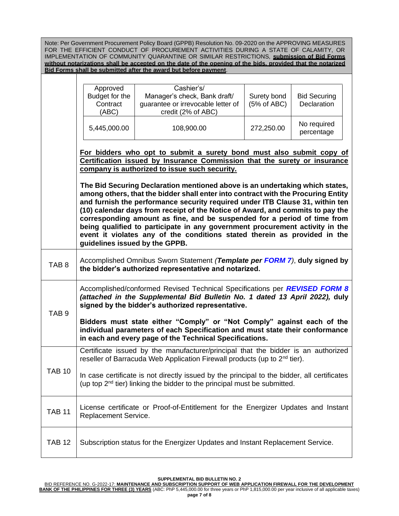Note: Per Government Procurement Policy Board (GPPB) Resolution No. 09-2020 on the APPROVING MEASURES FOR THE EFFICIENT CONDUCT OF PROCUREMENT ACTIVITIES DURING A STATE OF CALAMITY, OR IMPLEMENTATION OF COMMUNITY QUARANTINE OR SIMILAR RESTRICTIONS, **submission of Bid Forms without notarizations shall be accepted on the date of the opening of the bids, provided that the notarized Bid Forms shall be submitted after the award but before payment**.

|                  | Approved<br>Budget for the<br>Contract<br>(ABC)<br>5,445,000.00                                                                                                       | Cashier's/<br>Manager's check, Bank draft/<br>guarantee or irrevocable letter of<br>credit (2% of ABC)<br>108,900.00                                                                                                                                                                                                                                                                                                                                                                                                                                                                                                                                                                                                                                                                | Surety bond<br>(5% of ABC)<br>272,250.00 | <b>Bid Securing</b><br>Declaration<br>No required<br>percentage |  |  |
|------------------|-----------------------------------------------------------------------------------------------------------------------------------------------------------------------|-------------------------------------------------------------------------------------------------------------------------------------------------------------------------------------------------------------------------------------------------------------------------------------------------------------------------------------------------------------------------------------------------------------------------------------------------------------------------------------------------------------------------------------------------------------------------------------------------------------------------------------------------------------------------------------------------------------------------------------------------------------------------------------|------------------------------------------|-----------------------------------------------------------------|--|--|
|                  |                                                                                                                                                                       | For bidders who opt to submit a surety bond must also submit copy of<br>Certification issued by Insurance Commission that the surety or insurance<br>company is authorized to issue such security.<br>The Bid Securing Declaration mentioned above is an undertaking which states,<br>among others, that the bidder shall enter into contract with the Procuring Entity<br>and furnish the performance security required under ITB Clause 31, within ten<br>(10) calendar days from receipt of the Notice of Award, and commits to pay the<br>corresponding amount as fine, and be suspended for a period of time from<br>being qualified to participate in any government procurement activity in the<br>event it violates any of the conditions stated therein as provided in the |                                          |                                                                 |  |  |
| TAB <sub>8</sub> | guidelines issued by the GPPB.<br>Accomplished Omnibus Sworn Statement (Template per FORM 7), duly signed by<br>the bidder's authorized representative and notarized. |                                                                                                                                                                                                                                                                                                                                                                                                                                                                                                                                                                                                                                                                                                                                                                                     |                                          |                                                                 |  |  |
| TAB <sub>9</sub> |                                                                                                                                                                       | Accomplished/conformed Revised Technical Specifications per REVISED FORM 8<br>(attached in the Supplemental Bid Bulletin No. 1 dated 13 April 2022), duly<br>signed by the bidder's authorized representative.<br>Bidders must state either "Comply" or "Not Comply" against each of the<br>individual parameters of each Specification and must state their conformance<br>in each and every page of the Technical Specifications.                                                                                                                                                                                                                                                                                                                                                 |                                          |                                                                 |  |  |
| <b>TAB 10</b>    |                                                                                                                                                                       | Certificate issued by the manufacturer/principal that the bidder is an authorized<br>reseller of Barracuda Web Application Firewall products (up to 2 <sup>nd</sup> tier).<br>In case certificate is not directly issued by the principal to the bidder, all certificates<br>(up top $2^{nd}$ tier) linking the bidder to the principal must be submitted.                                                                                                                                                                                                                                                                                                                                                                                                                          |                                          |                                                                 |  |  |
| <b>TAB 11</b>    | License certificate or Proof-of-Entitlement for the Energizer Updates and Instant<br>Replacement Service.                                                             |                                                                                                                                                                                                                                                                                                                                                                                                                                                                                                                                                                                                                                                                                                                                                                                     |                                          |                                                                 |  |  |
| <b>TAB 12</b>    | Subscription status for the Energizer Updates and Instant Replacement Service.                                                                                        |                                                                                                                                                                                                                                                                                                                                                                                                                                                                                                                                                                                                                                                                                                                                                                                     |                                          |                                                                 |  |  |